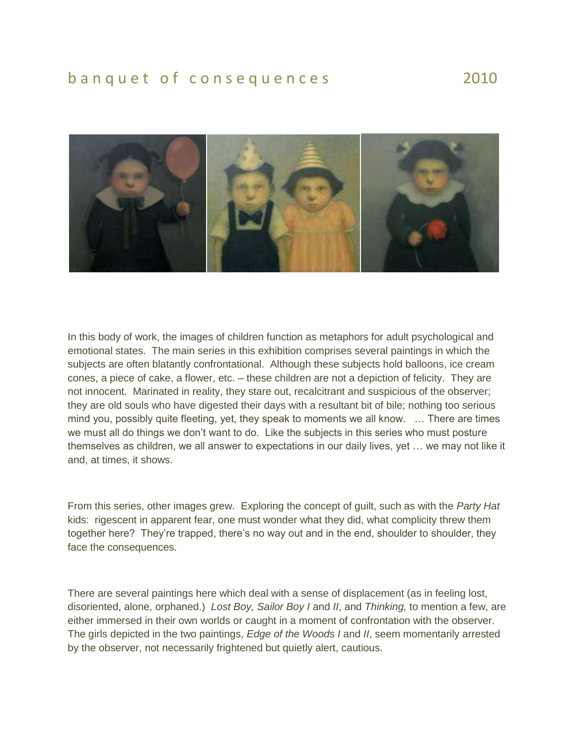## b a n q u e t o f consequences 2010



In this body of work, the images of children function as metaphors for adult psychological and emotional states. The main series in this exhibition comprises several paintings in which the subjects are often blatantly confrontational. Although these subjects hold balloons, ice cream cones, a piece of cake, a flower, etc. – these children are not a depiction of felicity. They are not innocent. Marinated in reality, they stare out, recalcitrant and suspicious of the observer; they are old souls who have digested their days with a resultant bit of bile; nothing too serious mind you, possibly quite fleeting, yet, they speak to moments we all know. … There are times we must all do things we don't want to do. Like the subjects in this series who must posture themselves as children, we all answer to expectations in our daily lives, yet … we may not like it and, at times, it shows.

From this series, other images grew. Exploring the concept of guilt, such as with the *Party Hat* kids: rigescent in apparent fear, one must wonder what they did, what complicity threw them together here? They're trapped, there's no way out and in the end, shoulder to shoulder, they face the consequences.

There are several paintings here which deal with a sense of displacement (as in feeling lost, disoriented, alone, orphaned.) *Lost Boy, Sailor Boy I* and *II*, and *Thinking,* to mention a few, are either immersed in their own worlds or caught in a moment of confrontation with the observer. The girls depicted in the two paintings, *Edge of the Woods I* and *II*, seem momentarily arrested by the observer, not necessarily frightened but quietly alert, cautious.